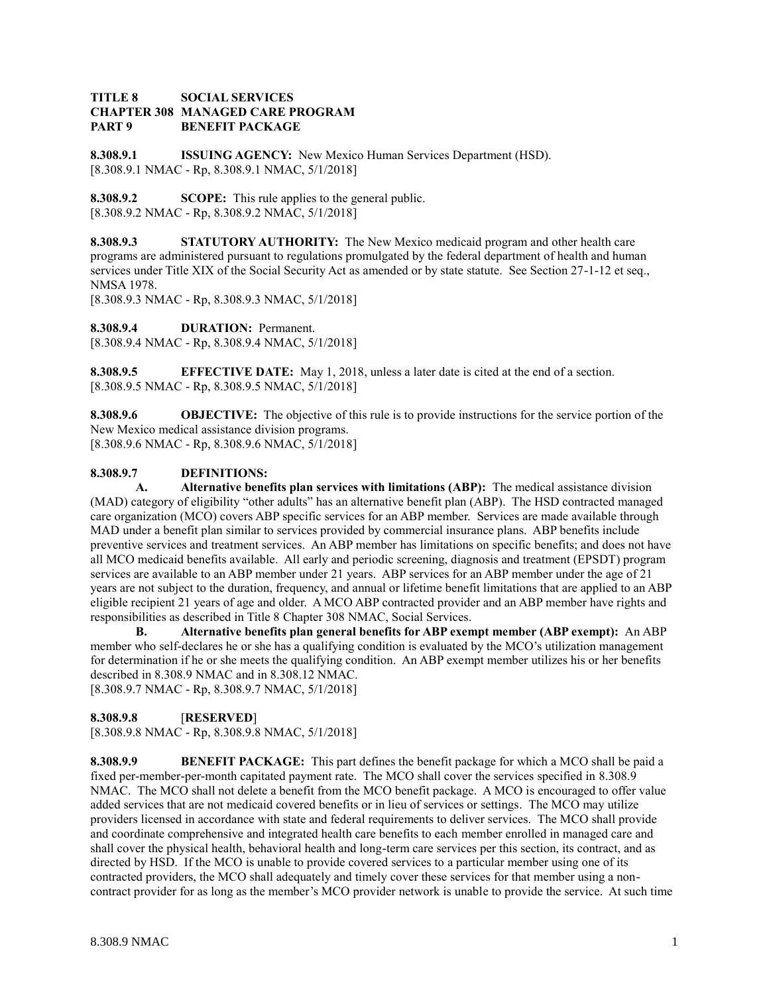# **TITLE 8 SOCIAL SERVICES CHAPTER 308 MANAGED CARE PROGRAM PART 9 BENEFIT PACKAGE**

**8.308.9.1 ISSUING AGENCY:** New Mexico Human Services Department (HSD). [8.308.9.1 NMAC - Rp, 8.308.9.1 NMAC, 5/1/2018]

**8.308.9.2 SCOPE:** This rule applies to the general public. [8.308.9.2 NMAC - Rp, 8.308.9.2 NMAC, 5/1/2018]

**8.308.9.3 STATUTORY AUTHORITY:** The New Mexico medicaid program and other health care programs are administered pursuant to regulations promulgated by the federal department of health and human services under Title XIX of the Social Security Act as amended or by state statute. See Section 27-1-12 et seq., NMSA 1978.

[8.308.9.3 NMAC - Rp, 8.308.9.3 NMAC, 5/1/2018]

**8.308.9.4 DURATION:** Permanent. [8.308.9.4 NMAC - Rp, 8.308.9.4 NMAC, 5/1/2018]

**8.308.9.5 EFFECTIVE DATE:** May 1, 2018, unless a later date is cited at the end of a section. [8.308.9.5 NMAC - Rp, 8.308.9.5 NMAC, 5/1/2018]

**8.308.9.6 OBJECTIVE:** The objective of this rule is to provide instructions for the service portion of the New Mexico medical assistance division programs. [8.308.9.6 NMAC - Rp, 8.308.9.6 NMAC, 5/1/2018]

# **8.308.9.7 DEFINITIONS:**

**A. Alternative benefits plan services with limitations (ABP):** The medical assistance division (MAD) category of eligibility "other adults" has an alternative benefit plan (ABP). The HSD contracted managed care organization (MCO) covers ABP specific services for an ABP member. Services are made available through MAD under a benefit plan similar to services provided by commercial insurance plans. ABP benefits include preventive services and treatment services. An ABP member has limitations on specific benefits; and does not have all MCO medicaid benefits available. All early and periodic screening, diagnosis and treatment (EPSDT) program services are available to an ABP member under 21 years. ABP services for an ABP member under the age of 21 years are not subject to the duration, frequency, and annual or lifetime benefit limitations that are applied to an ABP eligible recipient 21 years of age and older. A MCO ABP contracted provider and an ABP member have rights and responsibilities as described in Title 8 Chapter 308 NMAC, Social Services.

**B. Alternative benefits plan general benefits for ABP exempt member (ABP exempt):** An ABP member who self-declares he or she has a qualifying condition is evaluated by the MCO's utilization management for determination if he or she meets the qualifying condition. An ABP exempt member utilizes his or her benefits described in 8.308.9 NMAC and in 8.308.12 NMAC.

[8.308.9.7 NMAC - Rp, 8.308.9.7 NMAC, 5/1/2018]

# **8.308.9.8** [**RESERVED**]

[8.308.9.8 NMAC - Rp, 8.308.9.8 NMAC, 5/1/2018]

**8.308.9.9 BENEFIT PACKAGE:** This part defines the benefit package for which a MCO shall be paid a fixed per-member-per-month capitated payment rate. The MCO shall cover the services specified in 8.308.9 NMAC. The MCO shall not delete a benefit from the MCO benefit package. A MCO is encouraged to offer value added services that are not medicaid covered benefits or in lieu of services or settings. The MCO may utilize providers licensed in accordance with state and federal requirements to deliver services. The MCO shall provide and coordinate comprehensive and integrated health care benefits to each member enrolled in managed care and shall cover the physical health, behavioral health and long-term care services per this section, its contract, and as directed by HSD. If the MCO is unable to provide covered services to a particular member using one of its contracted providers, the MCO shall adequately and timely cover these services for that member using a noncontract provider for as long as the member's MCO provider network is unable to provide the service. At such time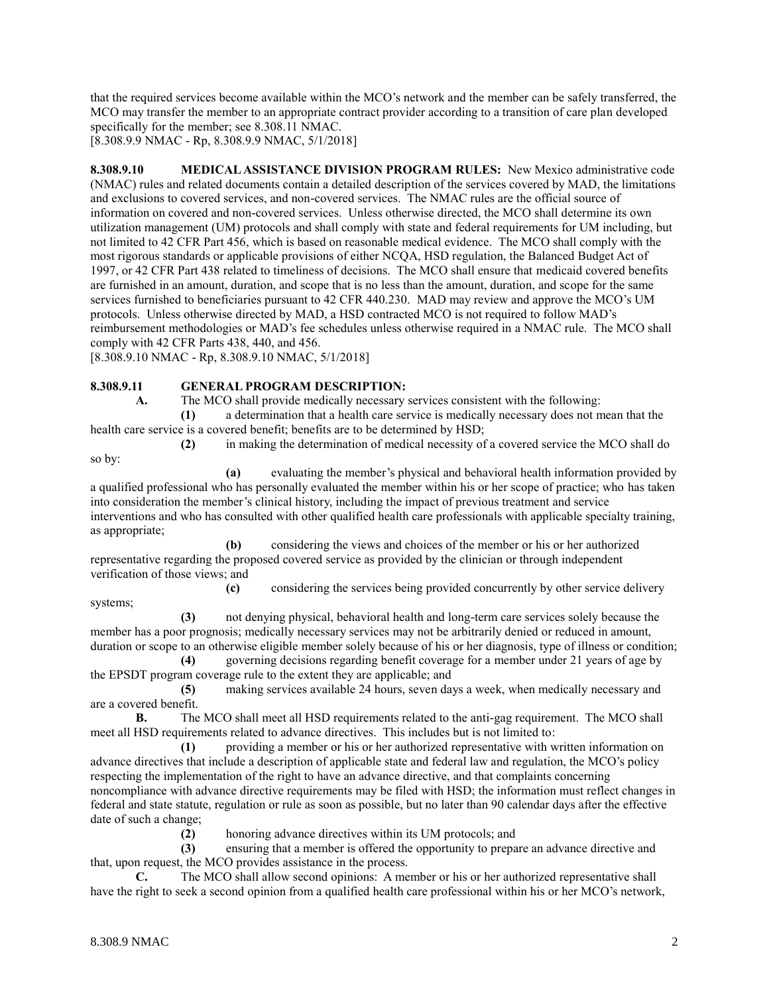that the required services become available within the MCO's network and the member can be safely transferred, the MCO may transfer the member to an appropriate contract provider according to a transition of care plan developed specifically for the member; see 8.308.11 NMAC. [8.308.9.9 NMAC - Rp, 8.308.9.9 NMAC, 5/1/2018]

**8.308.9.10 MEDICAL ASSISTANCE DIVISION PROGRAM RULES:** New Mexico administrative code (NMAC) rules and related documents contain a detailed description of the services covered by MAD, the limitations and exclusions to covered services, and non-covered services. The NMAC rules are the official source of information on covered and non-covered services. Unless otherwise directed, the MCO shall determine its own utilization management (UM) protocols and shall comply with state and federal requirements for UM including, but not limited to 42 CFR Part 456, which is based on reasonable medical evidence. The MCO shall comply with the most rigorous standards or applicable provisions of either NCQA, HSD regulation, the Balanced Budget Act of 1997, or 42 CFR Part 438 related to timeliness of decisions. The MCO shall ensure that medicaid covered benefits are furnished in an amount, duration, and scope that is no less than the amount, duration, and scope for the same services furnished to beneficiaries pursuant to 42 CFR 440.230. MAD may review and approve the MCO's UM protocols. Unless otherwise directed by MAD, a HSD contracted MCO is not required to follow MAD's reimbursement methodologies or MAD's fee schedules unless otherwise required in a NMAC rule. The MCO shall comply with 42 CFR Parts 438, 440, and 456.

[8.308.9.10 NMAC - Rp, 8.308.9.10 NMAC, 5/1/2018]

# **8.308.9.11 GENERAL PROGRAM DESCRIPTION:**

**A.** The MCO shall provide medically necessary services consistent with the following: **(1)** a determination that a health care service is medically necessary does not mean that the

health care service is a covered benefit; benefits are to be determined by HSD;

**(2)** in making the determination of medical necessity of a covered service the MCO shall do

**(a)** evaluating the member's physical and behavioral health information provided by a qualified professional who has personally evaluated the member within his or her scope of practice; who has taken into consideration the member's clinical history, including the impact of previous treatment and service interventions and who has consulted with other qualified health care professionals with applicable specialty training, as appropriate;

**(b)** considering the views and choices of the member or his or her authorized representative regarding the proposed covered service as provided by the clinician or through independent verification of those views; and

**(c)** considering the services being provided concurrently by other service delivery

**(3)** not denying physical, behavioral health and long-term care services solely because the member has a poor prognosis; medically necessary services may not be arbitrarily denied or reduced in amount, duration or scope to an otherwise eligible member solely because of his or her diagnosis, type of illness or condition;

**(4)** governing decisions regarding benefit coverage for a member under 21 years of age by the EPSDT program coverage rule to the extent they are applicable; and

**(5)** making services available 24 hours, seven days a week, when medically necessary and are a covered benefit.

**B.** The MCO shall meet all HSD requirements related to the anti-gag requirement. The MCO shall meet all HSD requirements related to advance directives. This includes but is not limited to:

**(1)** providing a member or his or her authorized representative with written information on advance directives that include a description of applicable state and federal law and regulation, the MCO's policy respecting the implementation of the right to have an advance directive, and that complaints concerning noncompliance with advance directive requirements may be filed with HSD; the information must reflect changes in federal and state statute, regulation or rule as soon as possible, but no later than 90 calendar days after the effective date of such a change;

**(2)** honoring advance directives within its UM protocols; and

**(3)** ensuring that a member is offered the opportunity to prepare an advance directive and that, upon request, the MCO provides assistance in the process.

**C.** The MCO shall allow second opinions: A member or his or her authorized representative shall have the right to seek a second opinion from a qualified health care professional within his or her MCO's network,

so by:

systems;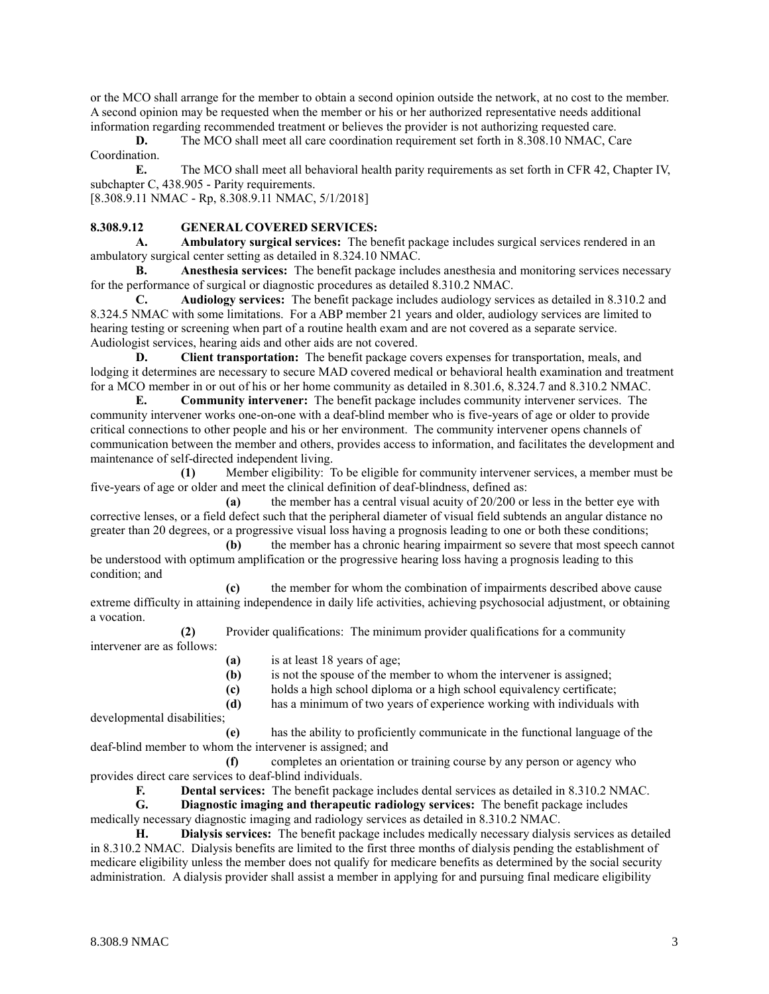or the MCO shall arrange for the member to obtain a second opinion outside the network, at no cost to the member. A second opinion may be requested when the member or his or her authorized representative needs additional information regarding recommended treatment or believes the provider is not authorizing requested care.

**D.** The MCO shall meet all care coordination requirement set forth in 8.308.10 NMAC, Care Coordination.

**E.** The MCO shall meet all behavioral health parity requirements as set forth in CFR 42, Chapter IV, subchapter C, 438.905 - Parity requirements.

[8.308.9.11 NMAC - Rp, 8.308.9.11 NMAC, 5/1/2018]

# **8.308.9.12 GENERAL COVERED SERVICES:**

**A. Ambulatory surgical services:** The benefit package includes surgical services rendered in an ambulatory surgical center setting as detailed in 8.324.10 NMAC.

**B. Anesthesia services:** The benefit package includes anesthesia and monitoring services necessary for the performance of surgical or diagnostic procedures as detailed 8.310.2 NMAC.

**C. Audiology services:** The benefit package includes audiology services as detailed in 8.310.2 and 8.324.5 NMAC with some limitations. For a ABP member 21 years and older, audiology services are limited to hearing testing or screening when part of a routine health exam and are not covered as a separate service. Audiologist services, hearing aids and other aids are not covered.

**D. Client transportation:** The benefit package covers expenses for transportation, meals, and lodging it determines are necessary to secure MAD covered medical or behavioral health examination and treatment for a MCO member in or out of his or her home community as detailed in 8.301.6, 8.324.7 and 8.310.2 NMAC.

**E. Community intervener:** The benefit package includes community intervener services. The community intervener works one-on-one with a deaf-blind member who is five-years of age or older to provide critical connections to other people and his or her environment. The community intervener opens channels of communication between the member and others, provides access to information, and facilitates the development and maintenance of self-directed independent living.

**(1)** Member eligibility: To be eligible for community intervener services, a member must be five-years of age or older and meet the clinical definition of deaf-blindness, defined as:

**(a)** the member has a central visual acuity of 20/200 or less in the better eye with corrective lenses, or a field defect such that the peripheral diameter of visual field subtends an angular distance no greater than 20 degrees, or a progressive visual loss having a prognosis leading to one or both these conditions;

**(b)** the member has a chronic hearing impairment so severe that most speech cannot be understood with optimum amplification or the progressive hearing loss having a prognosis leading to this condition; and

**(c)** the member for whom the combination of impairments described above cause extreme difficulty in attaining independence in daily life activities, achieving psychosocial adjustment, or obtaining a vocation.

**(2)** Provider qualifications: The minimum provider qualifications for a community intervener are as follows:

- **(a)** is at least 18 years of age;
- **(b)** is not the spouse of the member to whom the intervener is assigned;
- **(c)** holds a high school diploma or a high school equivalency certificate;
- **(d)** has a minimum of two years of experience working with individuals with

developmental disabilities;

**(e)** has the ability to proficiently communicate in the functional language of the deaf-blind member to whom the intervener is assigned; and

**(f)** completes an orientation or training course by any person or agency who provides direct care services to deaf-blind individuals.

**F. Dental services:** The benefit package includes dental services as detailed in 8.310.2 NMAC.

**G. Diagnostic imaging and therapeutic radiology services:** The benefit package includes medically necessary diagnostic imaging and radiology services as detailed in 8.310.2 NMAC.

**H. Dialysis services:** The benefit package includes medically necessary dialysis services as detailed in 8.310.2 NMAC. Dialysis benefits are limited to the first three months of dialysis pending the establishment of medicare eligibility unless the member does not qualify for medicare benefits as determined by the social security administration. A dialysis provider shall assist a member in applying for and pursuing final medicare eligibility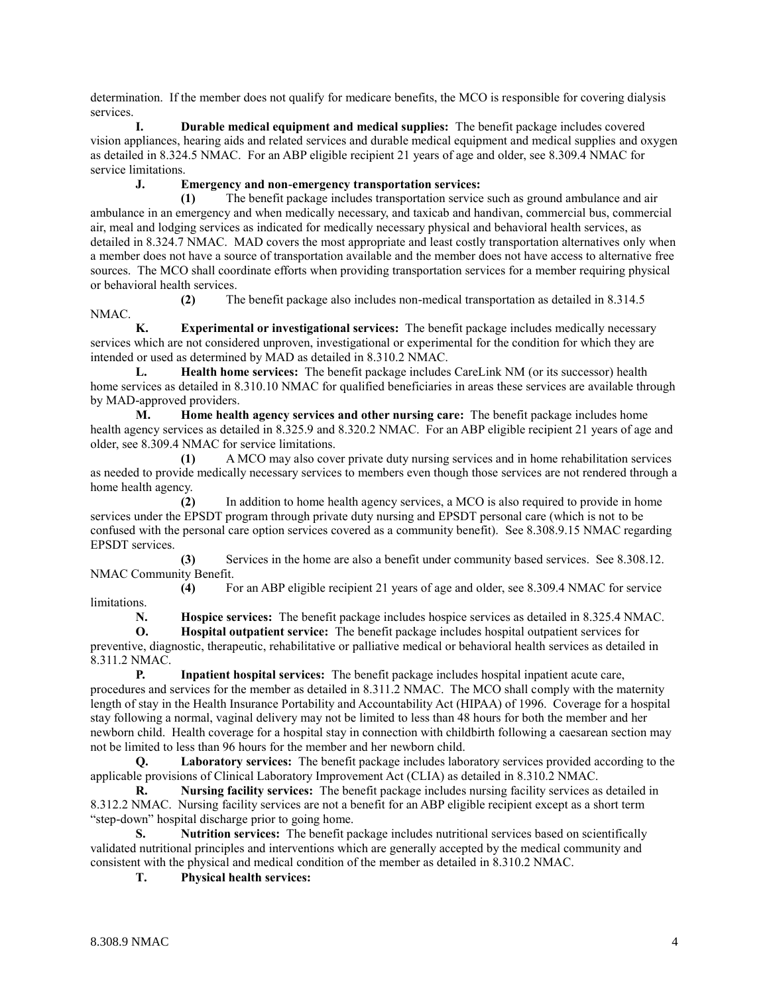determination. If the member does not qualify for medicare benefits, the MCO is responsible for covering dialysis services.

**I. Durable medical equipment and medical supplies:** The benefit package includes covered vision appliances, hearing aids and related services and durable medical equipment and medical supplies and oxygen as detailed in 8.324.5 NMAC. For an ABP eligible recipient 21 years of age and older, see 8.309.4 NMAC for service limitations.

**J. Emergency and non-emergency transportation services:**

**(1)** The benefit package includes transportation service such as ground ambulance and air ambulance in an emergency and when medically necessary, and taxicab and handivan, commercial bus, commercial air, meal and lodging services as indicated for medically necessary physical and behavioral health services, as detailed in 8.324.7 NMAC. MAD covers the most appropriate and least costly transportation alternatives only when a member does not have a source of transportation available and the member does not have access to alternative free sources. The MCO shall coordinate efforts when providing transportation services for a member requiring physical or behavioral health services.

**(2)** The benefit package also includes non-medical transportation as detailed in 8.314.5 NMAC.

**K. Experimental or investigational services:** The benefit package includes medically necessary services which are not considered unproven, investigational or experimental for the condition for which they are intended or used as determined by MAD as detailed in 8.310.2 NMAC.

**L. Health home services:** The benefit package includes CareLink NM (or its successor) health home services as detailed in 8.310.10 NMAC for qualified beneficiaries in areas these services are available through by MAD-approved providers.

**M. Home health agency services and other nursing care:** The benefit package includes home health agency services as detailed in 8.325.9 and 8.320.2 NMAC. For an ABP eligible recipient 21 years of age and older, see 8.309.4 NMAC for service limitations.

**(1)** A MCO may also cover private duty nursing services and in home rehabilitation services as needed to provide medically necessary services to members even though those services are not rendered through a home health agency.

**(2)** In addition to home health agency services, a MCO is also required to provide in home services under the EPSDT program through private duty nursing and EPSDT personal care (which is not to be confused with the personal care option services covered as a community benefit). See 8.308.9.15 NMAC regarding EPSDT services.

**(3)** Services in the home are also a benefit under community based services. See 8.308.12. NMAC Community Benefit.

**(4)** For an ABP eligible recipient 21 years of age and older, see 8.309.4 NMAC for service limitations.

**N. Hospice services:** The benefit package includes hospice services as detailed in 8.325.4 NMAC.

**O. Hospital outpatient service:** The benefit package includes hospital outpatient services for preventive, diagnostic, therapeutic, rehabilitative or palliative medical or behavioral health services as detailed in 8.311.2 NMAC.

**P. Inpatient hospital services:** The benefit package includes hospital inpatient acute care, procedures and services for the member as detailed in 8.311.2 NMAC. The MCO shall comply with the maternity length of stay in the Health Insurance Portability and Accountability Act (HIPAA) of 1996. Coverage for a hospital stay following a normal, vaginal delivery may not be limited to less than 48 hours for both the member and her newborn child. Health coverage for a hospital stay in connection with childbirth following a caesarean section may not be limited to less than 96 hours for the member and her newborn child.

**Q. Laboratory services:** The benefit package includes laboratory services provided according to the applicable provisions of Clinical Laboratory Improvement Act (CLIA) as detailed in 8.310.2 NMAC.

**R. Nursing facility services:** The benefit package includes nursing facility services as detailed in 8.312.2 NMAC. Nursing facility services are not a benefit for an ABP eligible recipient except as a short term "step-down" hospital discharge prior to going home.

**S. Nutrition services:** The benefit package includes nutritional services based on scientifically validated nutritional principles and interventions which are generally accepted by the medical community and consistent with the physical and medical condition of the member as detailed in 8.310.2 NMAC.

**T. Physical health services:**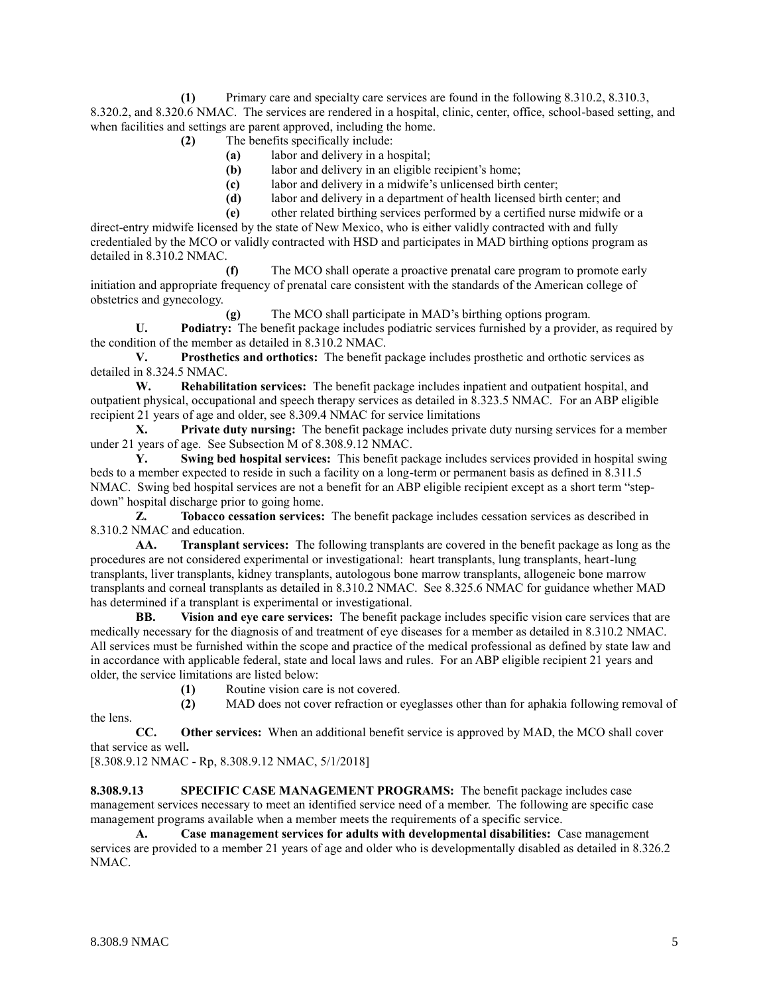**(1)** Primary care and specialty care services are found in the following 8.310.2, 8.310.3, 8.320.2, and 8.320.6 NMAC. The services are rendered in a hospital, clinic, center, office, school-based setting, and when facilities and settings are parent approved, including the home.

**(2)** The benefits specifically include:

- **(a)** labor and delivery in a hospital;
- **(b)** labor and delivery in an eligible recipient's home;
- **(c)** labor and delivery in a midwife's unlicensed birth center;
- **(d)** labor and delivery in a department of health licensed birth center; and

**(e)** other related birthing services performed by a certified nurse midwife or a direct-entry midwife licensed by the state of New Mexico, who is either validly contracted with and fully credentialed by the MCO or validly contracted with HSD and participates in MAD birthing options program as detailed in 8.310.2 NMAC.

**(f)** The MCO shall operate a proactive prenatal care program to promote early initiation and appropriate frequency of prenatal care consistent with the standards of the American college of obstetrics and gynecology.

**(g)** The MCO shall participate in MAD's birthing options program.

**U. Podiatry:** The benefit package includes podiatric services furnished by a provider, as required by the condition of the member as detailed in 8.310.2 NMAC.

**V. Prosthetics and orthotics:** The benefit package includes prosthetic and orthotic services as detailed in 8.324.5 NMAC.

**W. Rehabilitation services:** The benefit package includes inpatient and outpatient hospital, and outpatient physical, occupational and speech therapy services as detailed in 8.323.5 NMAC. For an ABP eligible recipient 21 years of age and older, see 8.309.4 NMAC for service limitations

**X. Private duty nursing:** The benefit package includes private duty nursing services for a member under 21 years of age. See Subsection M of 8.308.9.12 NMAC.

**Y. Swing bed hospital services:** This benefit package includes services provided in hospital swing beds to a member expected to reside in such a facility on a long-term or permanent basis as defined in 8.311.5 NMAC. Swing bed hospital services are not a benefit for an ABP eligible recipient except as a short term "stepdown" hospital discharge prior to going home.

**Z. Tobacco cessation services:** The benefit package includes cessation services as described in 8.310.2 NMAC and education.

**AA. Transplant services:** The following transplants are covered in the benefit package as long as the procedures are not considered experimental or investigational: heart transplants, lung transplants, heart-lung transplants, liver transplants, kidney transplants, autologous bone marrow transplants, allogeneic bone marrow transplants and corneal transplants as detailed in 8.310.2 NMAC. See 8.325.6 NMAC for guidance whether MAD has determined if a transplant is experimental or investigational.

**BB. Vision and eye care services:** The benefit package includes specific vision care services that are medically necessary for the diagnosis of and treatment of eye diseases for a member as detailed in 8.310.2 NMAC. All services must be furnished within the scope and practice of the medical professional as defined by state law and in accordance with applicable federal, state and local laws and rules. For an ABP eligible recipient 21 years and older, the service limitations are listed below:

**(1)** Routine vision care is not covered.

**(2)** MAD does not cover refraction or eyeglasses other than for aphakia following removal of

**CC. Other services:** When an additional benefit service is approved by MAD, the MCO shall cover that service as well**.**

[8.308.9.12 NMAC - Rp, 8.308.9.12 NMAC, 5/1/2018]

**8.308.9.13 SPECIFIC CASE MANAGEMENT PROGRAMS:** The benefit package includes case management services necessary to meet an identified service need of a member. The following are specific case management programs available when a member meets the requirements of a specific service.

**A. Case management services for adults with developmental disabilities:** Case management services are provided to a member 21 years of age and older who is developmentally disabled as detailed in 8.326.2 NMAC.

the lens.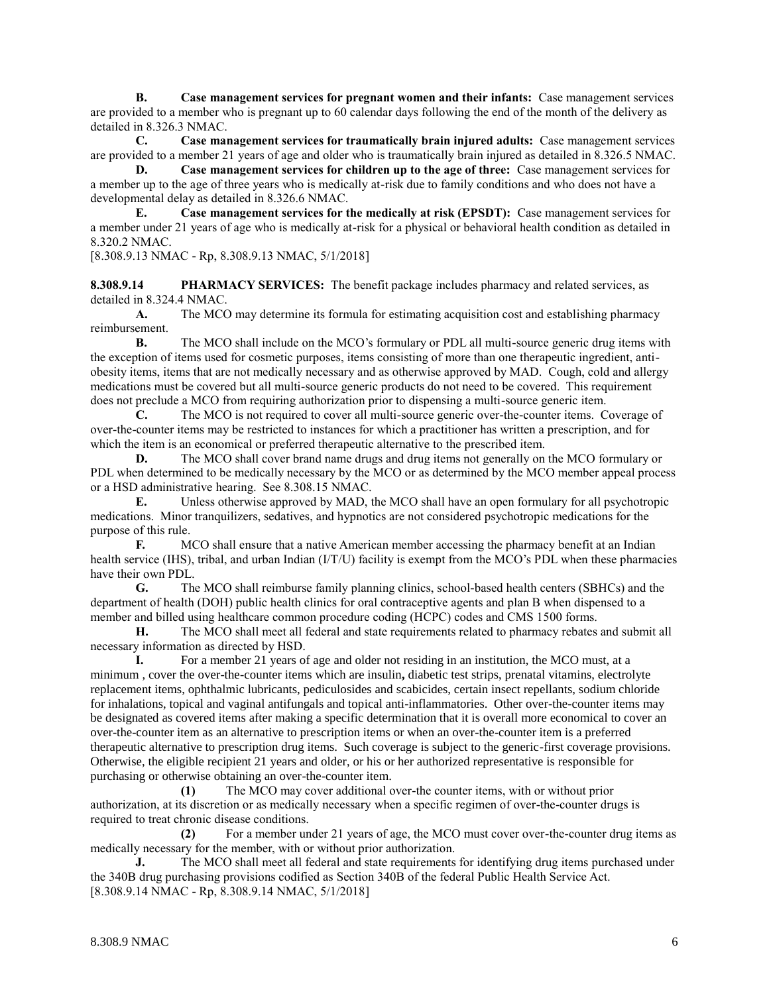**B. Case management services for pregnant women and their infants:** Case management services are provided to a member who is pregnant up to 60 calendar days following the end of the month of the delivery as detailed in 8.326.3 NMAC.

**C. Case management services for traumatically brain injured adults:** Case management services are provided to a member 21 years of age and older who is traumatically brain injured as detailed in 8.326.5 NMAC.

**D. Case management services for children up to the age of three:** Case management services for a member up to the age of three years who is medically at-risk due to family conditions and who does not have a developmental delay as detailed in 8.326.6 NMAC.

**E. Case management services for the medically at risk (EPSDT):** Case management services for a member under 21 years of age who is medically at-risk for a physical or behavioral health condition as detailed in 8.320.2 NMAC.

[8.308.9.13 NMAC - Rp, 8.308.9.13 NMAC, 5/1/2018]

**8.308.9.14 PHARMACY SERVICES:** The benefit package includes pharmacy and related services, as detailed in 8.324.4 NMAC.

**A.** The MCO may determine its formula for estimating acquisition cost and establishing pharmacy reimbursement.

**B.** The MCO shall include on the MCO's formulary or PDL all multi-source generic drug items with the exception of items used for cosmetic purposes, items consisting of more than one therapeutic ingredient, antiobesity items, items that are not medically necessary and as otherwise approved by MAD. Cough, cold and allergy medications must be covered but all multi-source generic products do not need to be covered. This requirement does not preclude a MCO from requiring authorization prior to dispensing a multi-source generic item.

**C.** The MCO is not required to cover all multi-source generic over-the-counter items. Coverage of over-the-counter items may be restricted to instances for which a practitioner has written a prescription, and for which the item is an economical or preferred therapeutic alternative to the prescribed item.

**D.** The MCO shall cover brand name drugs and drug items not generally on the MCO formulary or PDL when determined to be medically necessary by the MCO or as determined by the MCO member appeal process or a HSD administrative hearing. See 8.308.15 NMAC.

**E.** Unless otherwise approved by MAD, the MCO shall have an open formulary for all psychotropic medications. Minor tranquilizers, sedatives, and hypnotics are not considered psychotropic medications for the purpose of this rule.

**F.** MCO shall ensure that a native American member accessing the pharmacy benefit at an Indian health service (IHS), tribal, and urban Indian (I/T/U) facility is exempt from the MCO's PDL when these pharmacies have their own PDL.

**G.** The MCO shall reimburse family planning clinics, school-based health centers (SBHCs) and the department of health (DOH) public health clinics for oral contraceptive agents and plan B when dispensed to a member and billed using healthcare common procedure coding (HCPC) codes and CMS 1500 forms.

**H.** The MCO shall meet all federal and state requirements related to pharmacy rebates and submit all necessary information as directed by HSD.

**I.** For a member 21 years of age and older not residing in an institution, the MCO must, at a minimum , cover the over-the-counter items which are insulin**,** diabetic test strips, prenatal vitamins, electrolyte replacement items, ophthalmic lubricants, pediculosides and scabicides, certain insect repellants, sodium chloride for inhalations, topical and vaginal antifungals and topical anti-inflammatories. Other over-the-counter items may be designated as covered items after making a specific determination that it is overall more economical to cover an over-the-counter item as an alternative to prescription items or when an over-the-counter item is a preferred therapeutic alternative to prescription drug items. Such coverage is subject to the generic-first coverage provisions. Otherwise, the eligible recipient 21 years and older, or his or her authorized representative is responsible for purchasing or otherwise obtaining an over-the-counter item.

**(1)** The MCO may cover additional over-the counter items, with or without prior authorization, at its discretion or as medically necessary when a specific regimen of over-the-counter drugs is required to treat chronic disease conditions.

**(2)** For a member under 21 years of age, the MCO must cover over-the-counter drug items as medically necessary for the member, with or without prior authorization.

**J.** The MCO shall meet all federal and state requirements for identifying drug items purchased under the 340B drug purchasing provisions codified as Section 340B of the federal Public Health Service Act. [8.308.9.14 NMAC - Rp, 8.308.9.14 NMAC, 5/1/2018]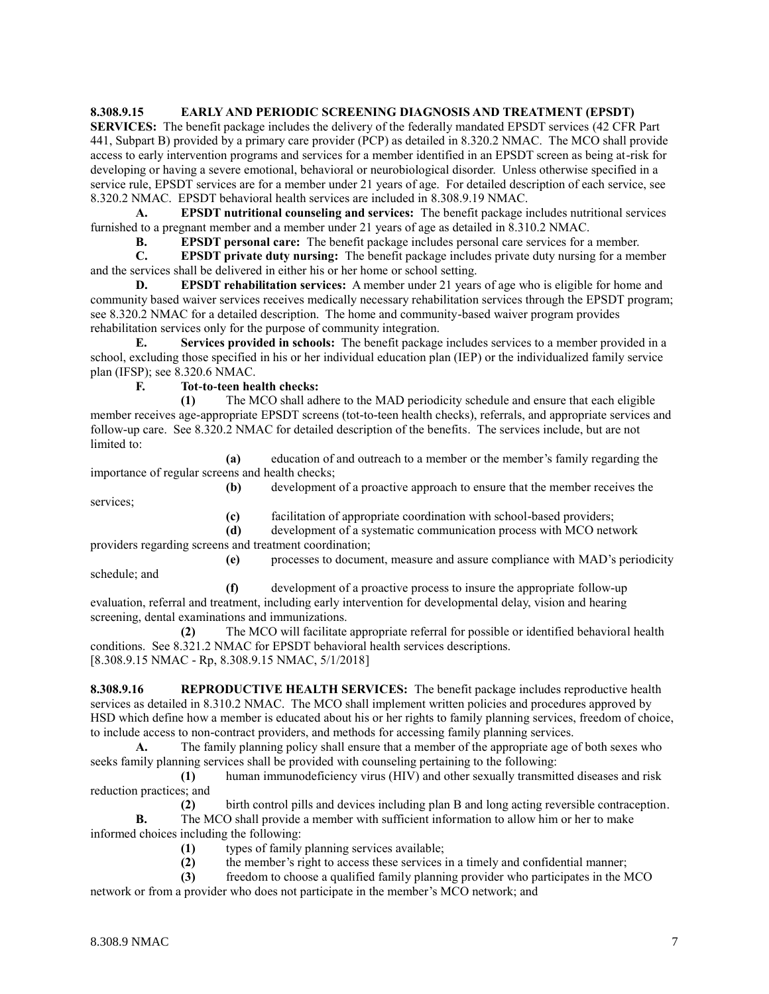#### **8.308.9.15 EARLY AND PERIODIC SCREENING DIAGNOSIS AND TREATMENT (EPSDT)**

**SERVICES:** The benefit package includes the delivery of the federally mandated EPSDT services (42 CFR Part 441, Subpart B) provided by a primary care provider (PCP) as detailed in 8.320.2 NMAC. The MCO shall provide access to early intervention programs and services for a member identified in an EPSDT screen as being at-risk for developing or having a severe emotional, behavioral or neurobiological disorder. Unless otherwise specified in a service rule, EPSDT services are for a member under 21 years of age. For detailed description of each service, see 8.320.2 NMAC. EPSDT behavioral health services are included in 8.308.9.19 NMAC.

**A. EPSDT nutritional counseling and services:** The benefit package includes nutritional services furnished to a pregnant member and a member under 21 years of age as detailed in 8.310.2 NMAC.

**B. EPSDT personal care:** The benefit package includes personal care services for a member.

**C. EPSDT private duty nursing:** The benefit package includes private duty nursing for a member and the services shall be delivered in either his or her home or school setting.

**D. EPSDT rehabilitation services:** A member under 21 years of age who is eligible for home and community based waiver services receives medically necessary rehabilitation services through the EPSDT program; see 8.320.2 NMAC for a detailed description. The home and community-based waiver program provides rehabilitation services only for the purpose of community integration.

**E. Services provided in schools:** The benefit package includes services to a member provided in a school, excluding those specified in his or her individual education plan (IEP) or the individualized family service plan (IFSP); see 8.320.6 NMAC.

**F. Tot-to-teen health checks:**

**(1)** The MCO shall adhere to the MAD periodicity schedule and ensure that each eligible member receives age-appropriate EPSDT screens (tot-to-teen health checks), referrals, and appropriate services and follow-up care. See 8.320.2 NMAC for detailed description of the benefits. The services include, but are not limited to:

**(a)** education of and outreach to a member or the member's family regarding the importance of regular screens and health checks;

**(b)** development of a proactive approach to ensure that the member receives the

**(c)** facilitation of appropriate coordination with school-based providers;

**(d)** development of a systematic communication process with MCO network providers regarding screens and treatment coordination;

**(e)** processes to document, measure and assure compliance with MAD's periodicity schedule; and

**(f)** development of a proactive process to insure the appropriate follow-up evaluation, referral and treatment, including early intervention for developmental delay, vision and hearing screening, dental examinations and immunizations.

**(2)** The MCO will facilitate appropriate referral for possible or identified behavioral health conditions. See 8.321.2 NMAC for EPSDT behavioral health services descriptions. [8.308.9.15 NMAC - Rp, 8.308.9.15 NMAC, 5/1/2018]

**8.308.9.16 REPRODUCTIVE HEALTH SERVICES:** The benefit package includes reproductive health services as detailed in 8.310.2 NMAC. The MCO shall implement written policies and procedures approved by HSD which define how a member is educated about his or her rights to family planning services, freedom of choice, to include access to non-contract providers, and methods for accessing family planning services.

**A.** The family planning policy shall ensure that a member of the appropriate age of both sexes who seeks family planning services shall be provided with counseling pertaining to the following:

**(1)** human immunodeficiency virus (HIV) and other sexually transmitted diseases and risk reduction practices; and

**(2)** birth control pills and devices including plan B and long acting reversible contraception. **B.** The MCO shall provide a member with sufficient information to allow him or her to make informed choices including the following:

- **(1)** types of family planning services available;
- **(2)** the member's right to access these services in a timely and confidential manner;
- **(3)** freedom to choose a qualified family planning provider who participates in the MCO

network or from a provider who does not participate in the member's MCO network; and

services;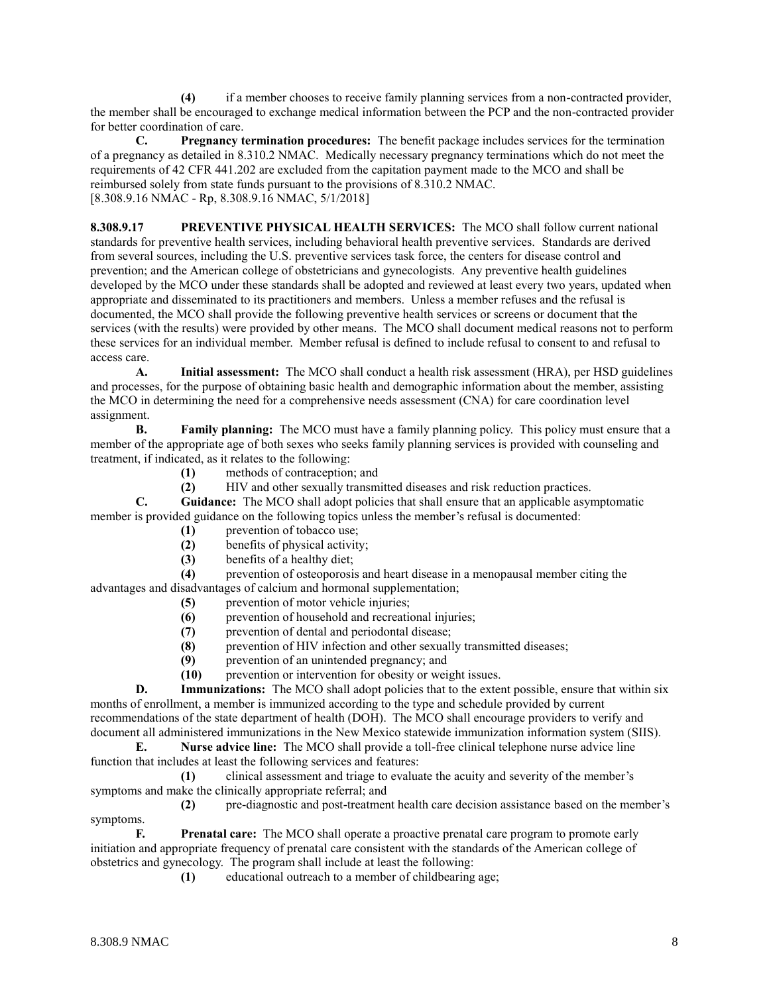**(4)** if a member chooses to receive family planning services from a non-contracted provider, the member shall be encouraged to exchange medical information between the PCP and the non-contracted provider for better coordination of care.

**C. Pregnancy termination procedures:** The benefit package includes services for the termination of a pregnancy as detailed in 8.310.2 NMAC. Medically necessary pregnancy terminations which do not meet the requirements of 42 CFR 441.202 are excluded from the capitation payment made to the MCO and shall be reimbursed solely from state funds pursuant to the provisions of 8.310.2 NMAC. [8.308.9.16 NMAC - Rp, 8.308.9.16 NMAC, 5/1/2018]

**8.308.9.17 PREVENTIVE PHYSICAL HEALTH SERVICES:** The MCO shall follow current national standards for preventive health services, including behavioral health preventive services. Standards are derived from several sources, including the U.S. preventive services task force, the centers for disease control and prevention; and the American college of obstetricians and gynecologists. Any preventive health guidelines developed by the MCO under these standards shall be adopted and reviewed at least every two years, updated when appropriate and disseminated to its practitioners and members. Unless a member refuses and the refusal is documented, the MCO shall provide the following preventive health services or screens or document that the services (with the results) were provided by other means. The MCO shall document medical reasons not to perform these services for an individual member. Member refusal is defined to include refusal to consent to and refusal to access care.

**A. Initial assessment:** The MCO shall conduct a health risk assessment (HRA), per HSD guidelines and processes, for the purpose of obtaining basic health and demographic information about the member, assisting the MCO in determining the need for a comprehensive needs assessment (CNA) for care coordination level assignment.

**B. Family planning:** The MCO must have a family planning policy. This policy must ensure that a member of the appropriate age of both sexes who seeks family planning services is provided with counseling and treatment, if indicated, as it relates to the following:

- **(1)** methods of contraception; and
- **(2)** HIV and other sexually transmitted diseases and risk reduction practices.

**C. Guidance:** The MCO shall adopt policies that shall ensure that an applicable asymptomatic member is provided guidance on the following topics unless the member's refusal is documented:

- **(1)** prevention of tobacco use;
- **(2)** benefits of physical activity;
- **(3)** benefits of a healthy diet;

**(4)** prevention of osteoporosis and heart disease in a menopausal member citing the advantages and disadvantages of calcium and hormonal supplementation;

- **(5)** prevention of motor vehicle injuries;
- **(6)** prevention of household and recreational injuries;
- **(7)** prevention of dental and periodontal disease;
- **(8)** prevention of HIV infection and other sexually transmitted diseases;
- **(9)** prevention of an unintended pregnancy; and
- **(10)** prevention or intervention for obesity or weight issues.

**D. Immunizations:** The MCO shall adopt policies that to the extent possible, ensure that within six months of enrollment, a member is immunized according to the type and schedule provided by current recommendations of the state department of health (DOH). The MCO shall encourage providers to verify and document all administered immunizations in the New Mexico statewide immunization information system (SIIS).

**E. Nurse advice line:** The MCO shall provide a toll-free clinical telephone nurse advice line function that includes at least the following services and features:

**(1)** clinical assessment and triage to evaluate the acuity and severity of the member's symptoms and make the clinically appropriate referral; and

**(2)** pre-diagnostic and post-treatment health care decision assistance based on the member's symptoms.

**F. Prenatal care:** The MCO shall operate a proactive prenatal care program to promote early initiation and appropriate frequency of prenatal care consistent with the standards of the American college of obstetrics and gynecology. The program shall include at least the following:

**(1)** educational outreach to a member of childbearing age;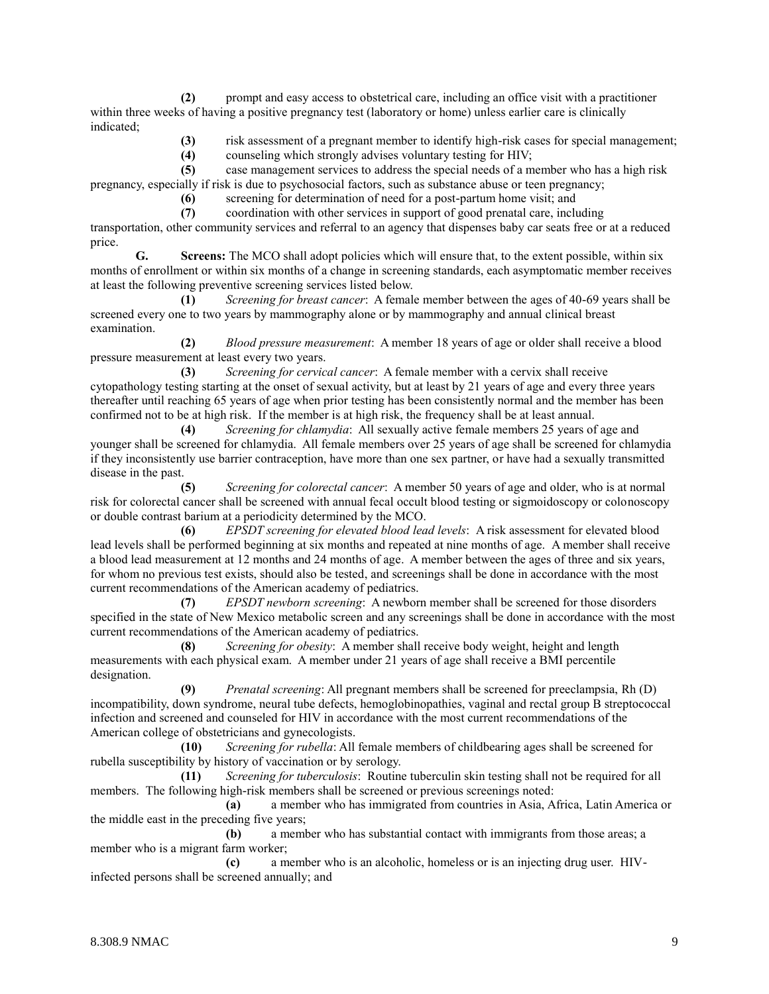**(2)** prompt and easy access to obstetrical care, including an office visit with a practitioner within three weeks of having a positive pregnancy test (laboratory or home) unless earlier care is clinically indicated;

**(3)** risk assessment of a pregnant member to identify high-risk cases for special management;

**(4)** counseling which strongly advises voluntary testing for HIV;

**(5)** case management services to address the special needs of a member who has a high risk pregnancy, especially if risk is due to psychosocial factors, such as substance abuse or teen pregnancy;

**(6)** screening for determination of need for a post-partum home visit; and

**(7)** coordination with other services in support of good prenatal care, including transportation, other community services and referral to an agency that dispenses baby car seats free or at a reduced price.

**G. Screens:** The MCO shall adopt policies which will ensure that, to the extent possible, within six months of enrollment or within six months of a change in screening standards, each asymptomatic member receives at least the following preventive screening services listed below.

**(1)** *Screening for breast cancer*: A female member between the ages of 40-69 years shall be screened every one to two years by mammography alone or by mammography and annual clinical breast examination.

**(2)** *Blood pressure measurement*: A member 18 years of age or older shall receive a blood pressure measurement at least every two years.

**(3)** *Screening for cervical cancer*: A female member with a cervix shall receive cytopathology testing starting at the onset of sexual activity, but at least by 21 years of age and every three years thereafter until reaching 65 years of age when prior testing has been consistently normal and the member has been confirmed not to be at high risk. If the member is at high risk, the frequency shall be at least annual.

**(4)** *Screening for chlamydia*: All sexually active female members 25 years of age and younger shall be screened for chlamydia. All female members over 25 years of age shall be screened for chlamydia if they inconsistently use barrier contraception, have more than one sex partner, or have had a sexually transmitted disease in the past.

**(5)** *Screening for colorectal cancer*: A member 50 years of age and older, who is at normal risk for colorectal cancer shall be screened with annual fecal occult blood testing or sigmoidoscopy or colonoscopy or double contrast barium at a periodicity determined by the MCO.

**(6)** *EPSDT screening for elevated blood lead levels*: A risk assessment for elevated blood lead levels shall be performed beginning at six months and repeated at nine months of age. A member shall receive a blood lead measurement at 12 months and 24 months of age. A member between the ages of three and six years, for whom no previous test exists, should also be tested, and screenings shall be done in accordance with the most current recommendations of the American academy of pediatrics.

**(7)** *EPSDT newborn screening*: A newborn member shall be screened for those disorders specified in the state of New Mexico metabolic screen and any screenings shall be done in accordance with the most current recommendations of the American academy of pediatrics.

**(8)** *Screening for obesity*: A member shall receive body weight, height and length measurements with each physical exam. A member under 21 years of age shall receive a BMI percentile designation.

**(9)** *Prenatal screening*: All pregnant members shall be screened for preeclampsia, Rh (D) incompatibility, down syndrome, neural tube defects, hemoglobinopathies, vaginal and rectal group B streptococcal infection and screened and counseled for HIV in accordance with the most current recommendations of the American college of obstetricians and gynecologists.

**(10)** *Screening for rubella*: All female members of childbearing ages shall be screened for rubella susceptibility by history of vaccination or by serology.

**(11)** *Screening for tuberculosis*: Routine tuberculin skin testing shall not be required for all members. The following high-risk members shall be screened or previous screenings noted:

**(a)** a member who has immigrated from countries in Asia, Africa, Latin America or the middle east in the preceding five years;

**(b)** a member who has substantial contact with immigrants from those areas; a member who is a migrant farm worker;

**(c)** a member who is an alcoholic, homeless or is an injecting drug user. HIVinfected persons shall be screened annually; and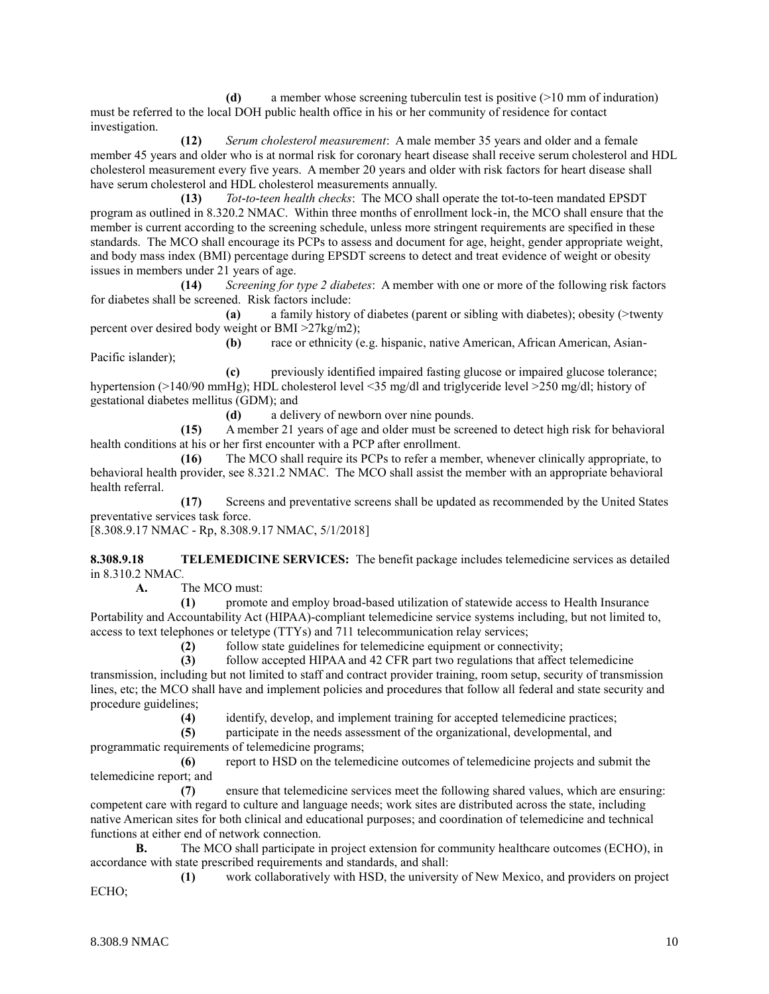**(d)** a member whose screening tuberculin test is positive (>10 mm of induration) must be referred to the local DOH public health office in his or her community of residence for contact investigation.

**(12)** *Serum cholesterol measurement*: A male member 35 years and older and a female member 45 years and older who is at normal risk for coronary heart disease shall receive serum cholesterol and HDL cholesterol measurement every five years. A member 20 years and older with risk factors for heart disease shall have serum cholesterol and HDL cholesterol measurements annually.

**(13)** *Tot-to-teen health checks*: The MCO shall operate the tot-to-teen mandated EPSDT program as outlined in 8.320.2 NMAC. Within three months of enrollment lock-in, the MCO shall ensure that the member is current according to the screening schedule, unless more stringent requirements are specified in these standards. The MCO shall encourage its PCPs to assess and document for age, height, gender appropriate weight, and body mass index (BMI) percentage during EPSDT screens to detect and treat evidence of weight or obesity issues in members under 21 years of age.

**(14)** *Screening for type 2 diabetes*: A member with one or more of the following risk factors for diabetes shall be screened. Risk factors include:

**(a)** a family history of diabetes (parent or sibling with diabetes); obesity (>twenty percent over desired body weight or BMI >27kg/m2);

**(b)** race or ethnicity (e.g. hispanic, native American, African American, Asian-Pacific islander);

**(c)** previously identified impaired fasting glucose or impaired glucose tolerance; hypertension (>140/90 mmHg); HDL cholesterol level <35 mg/dl and triglyceride level >250 mg/dl; history of gestational diabetes mellitus (GDM); and

**(d)** a delivery of newborn over nine pounds.

**(15)** A member 21 years of age and older must be screened to detect high risk for behavioral health conditions at his or her first encounter with a PCP after enrollment.

**(16)** The MCO shall require its PCPs to refer a member, whenever clinically appropriate, to behavioral health provider, see 8.321.2 NMAC. The MCO shall assist the member with an appropriate behavioral health referral.

**(17)** Screens and preventative screens shall be updated as recommended by the United States preventative services task force.

[8.308.9.17 NMAC - Rp, 8.308.9.17 NMAC, 5/1/2018]

**8.308.9.18 TELEMEDICINE SERVICES:** The benefit package includes telemedicine services as detailed in 8.310.2 NMAC*.*

**A.** The MCO must:

**(1)** promote and employ broad-based utilization of statewide access to Health Insurance Portability and Accountability Act (HIPAA)-compliant telemedicine service systems including, but not limited to, access to text telephones or teletype (TTYs) and 711 telecommunication relay services;

**(2)** follow state guidelines for telemedicine equipment or connectivity;

**(3)** follow accepted HIPAA and 42 CFR part two regulations that affect telemedicine

transmission, including but not limited to staff and contract provider training, room setup, security of transmission lines, etc; the MCO shall have and implement policies and procedures that follow all federal and state security and procedure guidelines;

**(4)** identify, develop, and implement training for accepted telemedicine practices;

**(5)** participate in the needs assessment of the organizational, developmental, and programmatic requirements of telemedicine programs;

**(6)** report to HSD on the telemedicine outcomes of telemedicine projects and submit the telemedicine report; and

**(7)** ensure that telemedicine services meet the following shared values, which are ensuring: competent care with regard to culture and language needs; work sites are distributed across the state, including native American sites for both clinical and educational purposes; and coordination of telemedicine and technical functions at either end of network connection.

**B.** The MCO shall participate in project extension for community healthcare outcomes (ECHO), in accordance with state prescribed requirements and standards, and shall:

**(1)** work collaboratively with HSD, the university of New Mexico, and providers on project ECHO;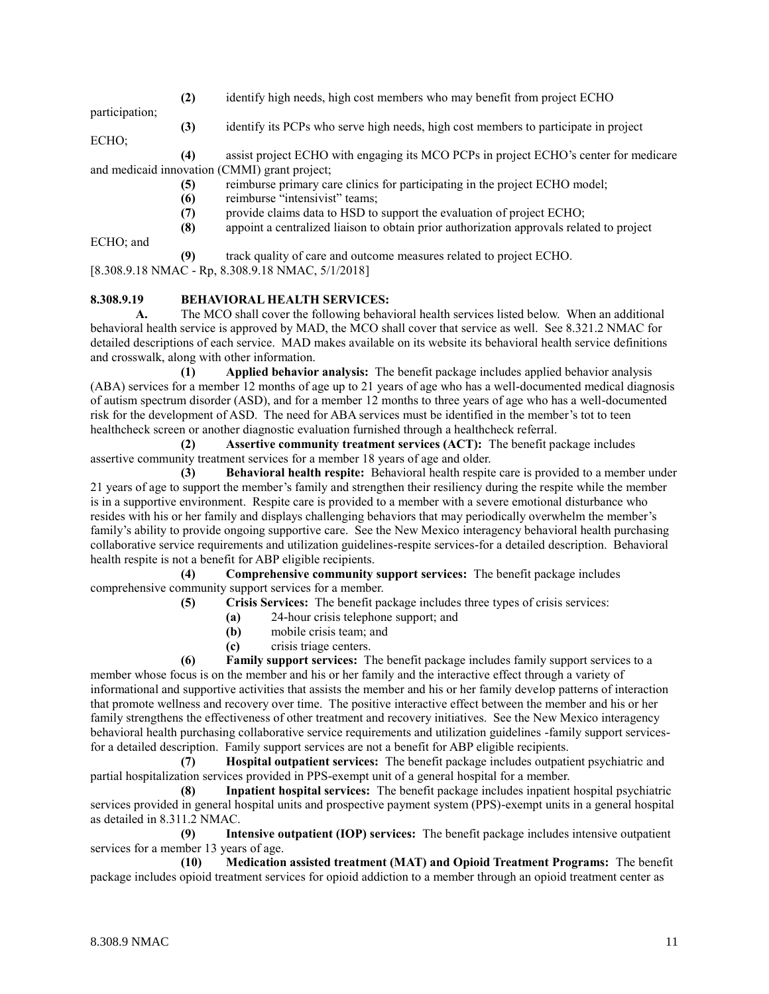**(2)** identify high needs, high cost members who may benefit from project ECHO

participation;

**(3)** identify its PCPs who serve high needs, high cost members to participate in project

ECHO;

**(4)** assist project ECHO with engaging its MCO PCPs in project ECHO's center for medicare and medicaid innovation (CMMI) grant project;

- **(5)** reimburse primary care clinics for participating in the project ECHO model;
- **(6)** reimburse "intensivist" teams;
- **(7)** provide claims data to HSD to support the evaluation of project ECHO;
- **(8)** appoint a centralized liaison to obtain prior authorization approvals related to project

ECHO; and

**(9)** track quality of care and outcome measures related to project ECHO.

[8.308.9.18 NMAC - Rp, 8.308.9.18 NMAC, 5/1/2018]

# **8.308.9.19 BEHAVIORAL HEALTH SERVICES:**

**A.** The MCO shall cover the following behavioral health services listed below. When an additional behavioral health service is approved by MAD, the MCO shall cover that service as well. See 8.321.2 NMAC for detailed descriptions of each service. MAD makes available on its website its behavioral health service definitions and crosswalk, along with other information.

**(1) Applied behavior analysis:** The benefit package includes applied behavior analysis (ABA) services for a member 12 months of age up to 21 years of age who has a well-documented medical diagnosis of autism spectrum disorder (ASD), and for a member 12 months to three years of age who has a well-documented risk for the development of ASD. The need for ABA services must be identified in the member's tot to teen healthcheck screen or another diagnostic evaluation furnished through a healthcheck referral.

**(2) Assertive community treatment services (ACT):** The benefit package includes assertive community treatment services for a member 18 years of age and older.

**(3) Behavioral health respite:** Behavioral health respite care is provided to a member under 21 years of age to support the member's family and strengthen their resiliency during the respite while the member is in a supportive environment. Respite care is provided to a member with a severe emotional disturbance who resides with his or her family and displays challenging behaviors that may periodically overwhelm the member's family's ability to provide ongoing supportive care. See the New Mexico interagency behavioral health purchasing collaborative service requirements and utilization guidelines-respite services-for a detailed description. Behavioral health respite is not a benefit for ABP eligible recipients.

**(4) Comprehensive community support services:** The benefit package includes comprehensive community support services for a member.

- **(5) Crisis Services:** The benefit package includes three types of crisis services:
	- **(a)** 24-hour crisis telephone support; and
	- **(b)** mobile crisis team; and
	- **(c)** crisis triage centers.

**(6) Family support services:** The benefit package includes family support services to a member whose focus is on the member and his or her family and the interactive effect through a variety of informational and supportive activities that assists the member and his or her family develop patterns of interaction that promote wellness and recovery over time. The positive interactive effect between the member and his or her family strengthens the effectiveness of other treatment and recovery initiatives. See the New Mexico interagency behavioral health purchasing collaborative service requirements and utilization guidelines -family support servicesfor a detailed description. Family support services are not a benefit for ABP eligible recipients.

**(7) Hospital outpatient services:** The benefit package includes outpatient psychiatric and partial hospitalization services provided in PPS-exempt unit of a general hospital for a member.

**(8) Inpatient hospital services:** The benefit package includes inpatient hospital psychiatric services provided in general hospital units and prospective payment system (PPS)-exempt units in a general hospital as detailed in 8.311.2 NMAC.

**(9) Intensive outpatient (IOP) services:** The benefit package includes intensive outpatient services for a member 13 years of age.

**(10) Medication assisted treatment (MAT) and Opioid Treatment Programs:** The benefit package includes opioid treatment services for opioid addiction to a member through an opioid treatment center as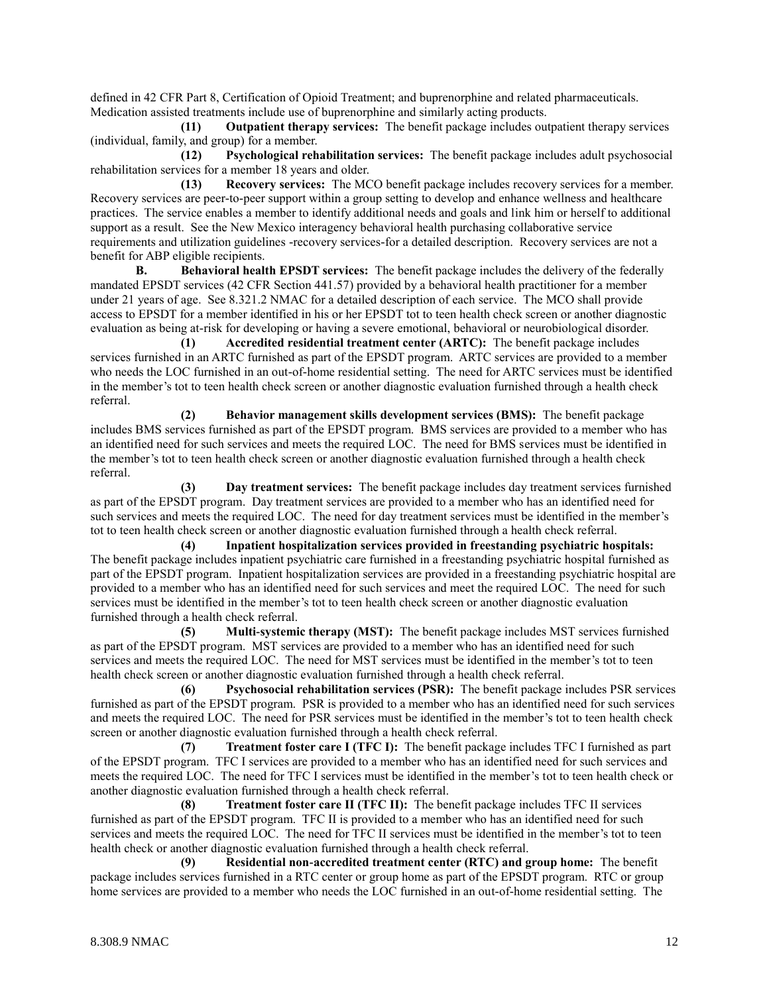defined in 42 CFR Part 8, Certification of Opioid Treatment; and buprenorphine and related pharmaceuticals. Medication assisted treatments include use of buprenorphine and similarly acting products.

**(11) Outpatient therapy services:** The benefit package includes outpatient therapy services (individual, family, and group) for a member.

**(12) Psychological rehabilitation services:** The benefit package includes adult psychosocial rehabilitation services for a member 18 years and older.

**(13) Recovery services:** The MCO benefit package includes recovery services for a member. Recovery services are peer-to-peer support within a group setting to develop and enhance wellness and healthcare practices. The service enables a member to identify additional needs and goals and link him or herself to additional support as a result. See the New Mexico interagency behavioral health purchasing collaborative service requirements and utilization guidelines -recovery services-for a detailed description. Recovery services are not a benefit for ABP eligible recipients.

**B. Behavioral health EPSDT services:** The benefit package includes the delivery of the federally mandated EPSDT services (42 CFR Section 441.57) provided by a behavioral health practitioner for a member under 21 years of age. See 8.321.2 NMAC for a detailed description of each service. The MCO shall provide access to EPSDT for a member identified in his or her EPSDT tot to teen health check screen or another diagnostic evaluation as being at-risk for developing or having a severe emotional, behavioral or neurobiological disorder.

**(1) Accredited residential treatment center (ARTC):** The benefit package includes services furnished in an ARTC furnished as part of the EPSDT program. ARTC services are provided to a member who needs the LOC furnished in an out-of-home residential setting. The need for ARTC services must be identified in the member's tot to teen health check screen or another diagnostic evaluation furnished through a health check referral.

**(2) Behavior management skills development services (BMS):** The benefit package includes BMS services furnished as part of the EPSDT program. BMS services are provided to a member who has an identified need for such services and meets the required LOC. The need for BMS services must be identified in the member's tot to teen health check screen or another diagnostic evaluation furnished through a health check referral.

**(3) Day treatment services:** The benefit package includes day treatment services furnished as part of the EPSDT program. Day treatment services are provided to a member who has an identified need for such services and meets the required LOC. The need for day treatment services must be identified in the member's tot to teen health check screen or another diagnostic evaluation furnished through a health check referral.

**(4) Inpatient hospitalization services provided in freestanding psychiatric hospitals:** The benefit package includes inpatient psychiatric care furnished in a freestanding psychiatric hospital furnished as part of the EPSDT program. Inpatient hospitalization services are provided in a freestanding psychiatric hospital are provided to a member who has an identified need for such services and meet the required LOC. The need for such services must be identified in the member's tot to teen health check screen or another diagnostic evaluation furnished through a health check referral.

**(5) Multi-systemic therapy (MST):** The benefit package includes MST services furnished as part of the EPSDT program. MST services are provided to a member who has an identified need for such services and meets the required LOC. The need for MST services must be identified in the member's tot to teen health check screen or another diagnostic evaluation furnished through a health check referral.

**(6) Psychosocial rehabilitation services (PSR):** The benefit package includes PSR services furnished as part of the EPSDT program. PSR is provided to a member who has an identified need for such services and meets the required LOC. The need for PSR services must be identified in the member's tot to teen health check screen or another diagnostic evaluation furnished through a health check referral.

**(7) Treatment foster care I (TFC I):** The benefit package includes TFC I furnished as part of the EPSDT program. TFC I services are provided to a member who has an identified need for such services and meets the required LOC. The need for TFC I services must be identified in the member's tot to teen health check or another diagnostic evaluation furnished through a health check referral.

**(8) Treatment foster care II (TFC II):** The benefit package includes TFC II services furnished as part of the EPSDT program. TFC II is provided to a member who has an identified need for such services and meets the required LOC. The need for TFC II services must be identified in the member's tot to teen health check or another diagnostic evaluation furnished through a health check referral.

**(9) Residential non-accredited treatment center (RTC) and group home:** The benefit package includes services furnished in a RTC center or group home as part of the EPSDT program. RTC or group home services are provided to a member who needs the LOC furnished in an out-of-home residential setting. The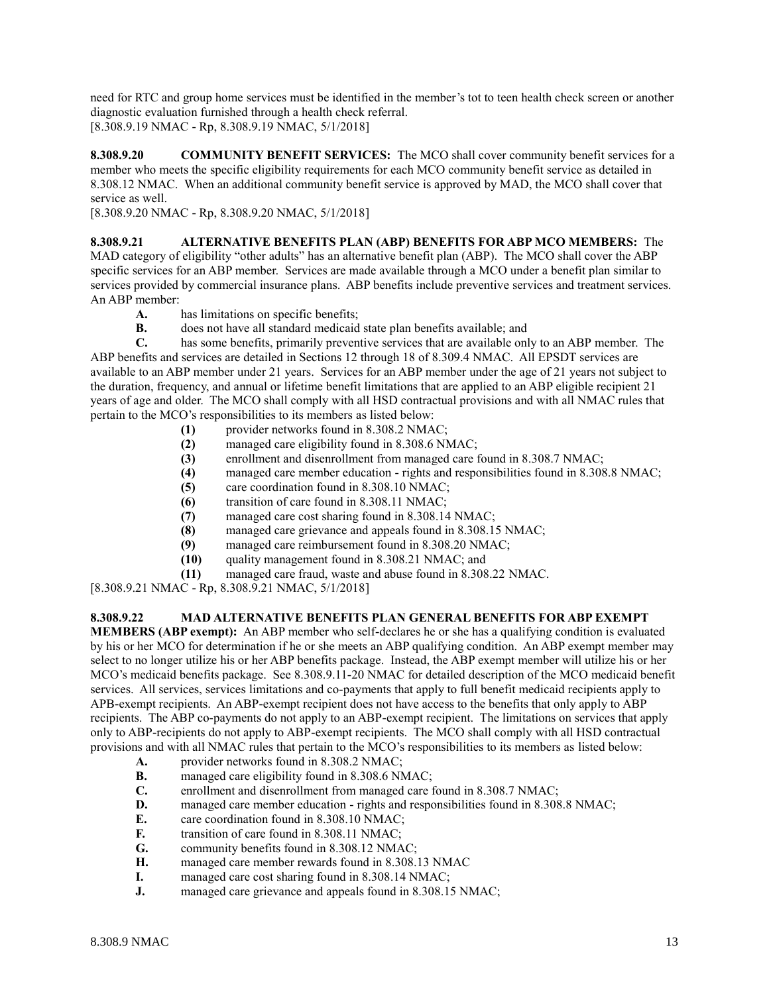need for RTC and group home services must be identified in the member's tot to teen health check screen or another diagnostic evaluation furnished through a health check referral. [8.308.9.19 NMAC - Rp, 8.308.9.19 NMAC, 5/1/2018]

**8.308.9.20 COMMUNITY BENEFIT SERVICES:** The MCO shall cover community benefit services for a member who meets the specific eligibility requirements for each MCO community benefit service as detailed in 8.308.12 NMAC. When an additional community benefit service is approved by MAD, the MCO shall cover that service as well.

[8.308.9.20 NMAC - Rp, 8.308.9.20 NMAC, 5/1/2018]

**8.308.9.21 ALTERNATIVE BENEFITS PLAN (ABP) BENEFITS FOR ABP MCO MEMBERS:** The MAD category of eligibility "other adults" has an alternative benefit plan (ABP). The MCO shall cover the ABP specific services for an ABP member. Services are made available through a MCO under a benefit plan similar to services provided by commercial insurance plans. ABP benefits include preventive services and treatment services. An ABP member:

- **A.** has limitations on specific benefits;
- **B.** does not have all standard medicaid state plan benefits available; and

**C.** has some benefits, primarily preventive services that are available only to an ABP member. The ABP benefits and services are detailed in Sections 12 through 18 of 8.309.4 NMAC. All EPSDT services are available to an ABP member under 21 years. Services for an ABP member under the age of 21 years not subject to the duration, frequency, and annual or lifetime benefit limitations that are applied to an ABP eligible recipient 21 years of age and older. The MCO shall comply with all HSD contractual provisions and with all NMAC rules that pertain to the MCO's responsibilities to its members as listed below:

- **(1)** provider networks found in 8.308.2 NMAC;
- **(2)** managed care eligibility found in 8.308.6 NMAC;
- **(3)** enrollment and disenrollment from managed care found in 8.308.7 NMAC;
- **(4)** managed care member education rights and responsibilities found in 8.308.8 NMAC;
- **(5)** care coordination found in 8.308.10 NMAC;
- **(6)** transition of care found in 8.308.11 NMAC;
- **(7)** managed care cost sharing found in 8.308.14 NMAC;
- **(8)** managed care grievance and appeals found in 8.308.15 NMAC;
- **(9)** managed care reimbursement found in 8.308.20 NMAC;
- **(10)** quality management found in 8.308.21 NMAC; and
- **(11)** managed care fraud, waste and abuse found in 8.308.22 NMAC.

[8.308.9.21 NMAC - Rp, 8.308.9.21 NMAC, 5/1/2018]

# **8.308.9.22 MAD ALTERNATIVE BENEFITS PLAN GENERAL BENEFITS FOR ABP EXEMPT**

**MEMBERS (ABP exempt):** An ABP member who self-declares he or she has a qualifying condition is evaluated by his or her MCO for determination if he or she meets an ABP qualifying condition. An ABP exempt member may select to no longer utilize his or her ABP benefits package. Instead, the ABP exempt member will utilize his or her MCO's medicaid benefits package. See 8.308.9.11-20 NMAC for detailed description of the MCO medicaid benefit services. All services, services limitations and co-payments that apply to full benefit medicaid recipients apply to APB-exempt recipients. An ABP-exempt recipient does not have access to the benefits that only apply to ABP recipients. The ABP co-payments do not apply to an ABP-exempt recipient. The limitations on services that apply only to ABP-recipients do not apply to ABP-exempt recipients. The MCO shall comply with all HSD contractual provisions and with all NMAC rules that pertain to the MCO's responsibilities to its members as listed below:

- **A.** provider networks found in 8.308.2 NMAC;
- **B.** managed care eligibility found in 8.308.6 NMAC;
- **C.** enrollment and disenrollment from managed care found in 8.308.7 NMAC;
- **D.** managed care member education rights and responsibilities found in 8.308.8 NMAC;
- **E.** care coordination found in 8.308.10 NMAC;
- **F.** transition of care found in 8.308.11 NMAC;
- **G.** community benefits found in 8.308.12 NMAC;
- **H.** managed care member rewards found in 8.308.13 NMAC
- **I.** managed care cost sharing found in 8.308.14 NMAC;
- **J.** managed care grievance and appeals found in 8.308.15 NMAC;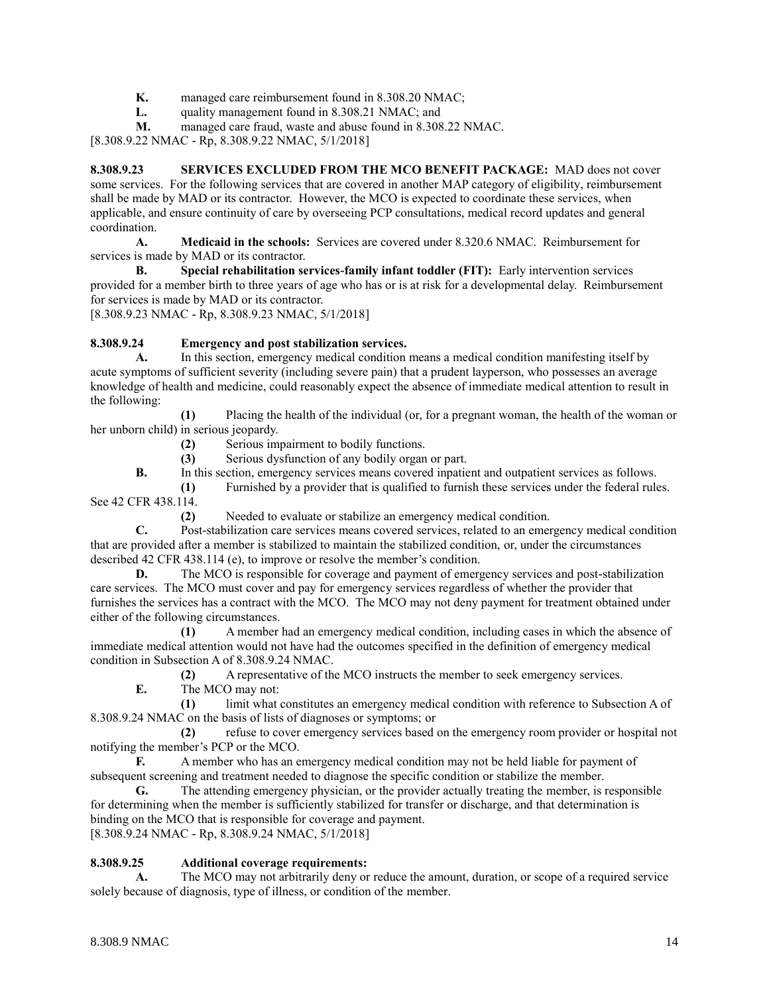- **K.** managed care reimbursement found in 8.308.20 NMAC;
- **L.** quality management found in 8.308.21 NMAC; and
- **M.** managed care fraud, waste and abuse found in 8.308.22 NMAC.

[8.308.9.22 NMAC - Rp, 8.308.9.22 NMAC, 5/1/2018]

**8.308.9.23 SERVICES EXCLUDED FROM THE MCO BENEFIT PACKAGE:** MAD does not cover some services. For the following services that are covered in another MAP category of eligibility, reimbursement shall be made by MAD or its contractor. However, the MCO is expected to coordinate these services, when applicable, and ensure continuity of care by overseeing PCP consultations, medical record updates and general coordination.

**A. Medicaid in the schools:** Services are covered under 8.320.6 NMAC. Reimbursement for services is made by MAD or its contractor.

**B. Special rehabilitation services-family infant toddler (FIT):** Early intervention services provided for a member birth to three years of age who has or is at risk for a developmental delay. Reimbursement for services is made by MAD or its contractor.

[8.308.9.23 NMAC - Rp, 8.308.9.23 NMAC, 5/1/2018]

# **8.308.9.24 Emergency and post stabilization services.**

**A.** In this section, emergency medical condition means a medical condition manifesting itself by acute symptoms of sufficient severity (including severe pain) that a prudent layperson, who possesses an average knowledge of health and medicine, could reasonably expect the absence of immediate medical attention to result in the following:

**(1)** Placing the health of the individual (or, for a pregnant woman, the health of the woman or her unborn child) in serious jeopardy.

**(2)** Serious impairment to bodily functions.

**(3)** Serious dysfunction of any bodily organ or part.

**B.** In this section, emergency services means covered inpatient and outpatient services as follows.

**(1)** Furnished by a provider that is qualified to furnish these services under the federal rules. See 42 CFR 438 114

**(2)** Needed to evaluate or stabilize an emergency medical condition.

**C.** Post-stabilization care services means covered services, related to an emergency medical condition that are provided after a member is stabilized to maintain the stabilized condition, or, under the circumstances described 42 CFR 438.114 (e), to improve or resolve the member's condition.

**D.** The MCO is responsible for coverage and payment of emergency services and post-stabilization care services. The MCO must cover and pay for emergency services regardless of whether the provider that furnishes the services has a contract with the MCO. The MCO may not deny payment for treatment obtained under either of the following circumstances.

**(1)** A member had an emergency medical condition, including cases in which the absence of immediate medical attention would not have had the outcomes specified in the definition of emergency medical condition in Subsection A of 8.308.9.24 NMAC.

**(2)** A representative of the MCO instructs the member to seek emergency services.

**E.** The MCO may not:

**(1)** limit what constitutes an emergency medical condition with reference to Subsection A of 8.308.9.24 NMAC on the basis of lists of diagnoses or symptoms; or

**(2)** refuse to cover emergency services based on the emergency room provider or hospital not notifying the member's PCP or the MCO.

**F.** A member who has an emergency medical condition may not be held liable for payment of subsequent screening and treatment needed to diagnose the specific condition or stabilize the member.

**G.** The attending emergency physician, or the provider actually treating the member, is responsible for determining when the member is sufficiently stabilized for transfer or discharge, and that determination is binding on the MCO that is responsible for coverage and payment. [8.308.9.24 NMAC - Rp, 8.308.9.24 NMAC, 5/1/2018]

# **8.308.9.25 Additional coverage requirements:**

**A.** The MCO may not arbitrarily deny or reduce the amount, duration, or scope of a required service solely because of diagnosis, type of illness, or condition of the member.